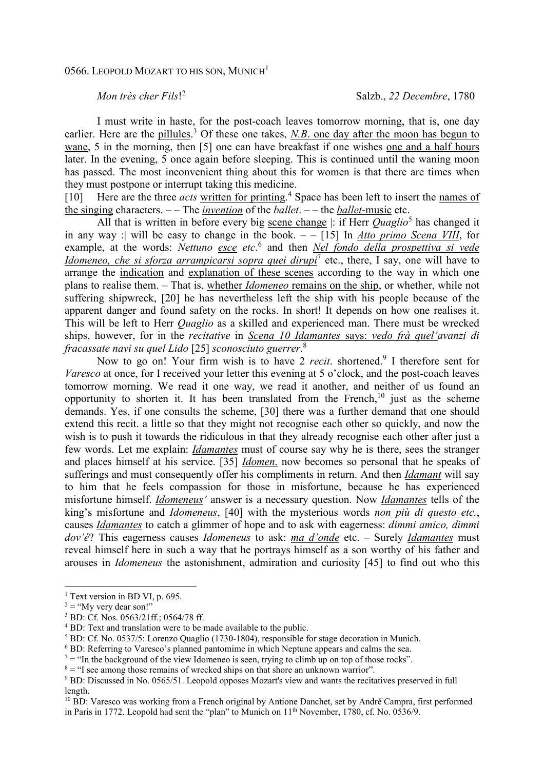## *Mon très cher Fils*! 2

I must write in haste, for the post-coach leaves tomorrow morning, that is, one day earlier. Here are the pillules.<sup>3</sup> Of these one takes, *N.B.* one day after the moon has begun to wane, 5 in the morning, then [5] one can have breakfast if one wishes one and a half hours later. In the evening, 5 once again before sleeping. This is continued until the waning moon has passed. The most inconvenient thing about this for women is that there are times when they must postpone or interrupt taking this medicine.

[10] Here are the three *acts* written for printing.<sup>4</sup> Space has been left to insert the names of the singing characters. – – The *invention* of the *ballet*. – – the *ballet*-music etc.

All that is written in before every big scene change |: if Herr *Quaglio*<sup>5</sup> has changed it in any way :| will be easy to change in the book. – – [15] In *Atto primo Scena VIII*, for example, at the words: *Nettuno esce etc*.<sup>6</sup> and then *Nel fondo della prospettiva si vede Idomeneo, che si sforza arrampicarsi sopra quei dirupi*<sup>7</sup> etc., there, I say, one will have to arrange the indication and explanation of these scenes according to the way in which one plans to realise them. – That is, whether *Idomeneo* remains on the ship, or whether, while not suffering shipwreck, [20] he has nevertheless left the ship with his people because of the apparent danger and found safety on the rocks. In short! It depends on how one realises it. This will be left to Herr *Quaglio* as a skilled and experienced man. There must be wrecked ships, however, for in the *recitative* in *Scena 10 Idamantes* says: *vedo frà quel'avanzi di fracassate navi su quel Lido* [25] *sconosciuto guerrer*. 8

Now to go on! Your firm wish is to have 2 *recit*. shortened.<sup>9</sup> I therefore sent for *Varesco* at once, for I received your letter this evening at 5 o'clock, and the post-coach leaves tomorrow morning. We read it one way, we read it another, and neither of us found an opportunity to shorten it. It has been translated from the French,<sup>10</sup> just as the scheme demands. Yes, if one consults the scheme, [30] there was a further demand that one should extend this recit. a little so that they might not recognise each other so quickly, and now the wish is to push it towards the ridiculous in that they already recognise each other after just a few words. Let me explain: *Idamantes* must of course say why he is there, sees the stranger and places himself at his service. [35] *Idomen*. now becomes so personal that he speaks of sufferings and must consequently offer his compliments in return. And then *Idamant* will say to him that he feels compassion for those in misfortune, because he has experienced misfortune himself. *Idomeneus'* answer is a necessary question. Now *Idamantes* tells of the king's misfortune and *Idomeneus*, [40] with the mysterious words *non più di questo etc.*, causes *Idamantes* to catch a glimmer of hope and to ask with eagerness: *dimmi amico, dimmi dov'é*? This eagerness causes *Idomeneus* to ask: *ma d'onde* etc. – Surely *Idamantes* must reveal himself here in such a way that he portrays himself as a son worthy of his father and arouses in *Idomeneus* the astonishment, admiration and curiosity [45] to find out who this

l

<sup>&</sup>lt;sup>1</sup> Text version in BD VI, p. 695.

 $2 =$  "My very dear son!"

<sup>3</sup> BD: Cf. Nos. 0563/21ff.; 0564/78 ff.

<sup>&</sup>lt;sup>4</sup> BD: Text and translation were to be made available to the public.

 $<sup>5</sup>$  BD: Cf. No. 0537/5: Lorenzo Quaglio (1730-1804), responsible for stage decoration in Munich.</sup>

<sup>&</sup>lt;sup>6</sup> BD: Referring to Varesco's planned pantomime in which Neptune appears and calms the sea.

 $7 =$  "In the background of the view Idomeneo is seen, trying to climb up on top of those rocks".

 $8 =$  "I see among those remains of wrecked ships on that shore an unknown warrior".

<sup>&</sup>lt;sup>9</sup> BD: Discussed in No. 0565/51. Leopold opposes Mozart's view and wants the recitatives preserved in full length.

<sup>&</sup>lt;sup>10</sup> BD: Varesco was working from a French original by Antione Danchet, set by André Campra, first performed in Paris in 1772. Leopold had sent the "plan" to Munich on 11<sup>th</sup> November, 1780, cf. No. 0536/9.